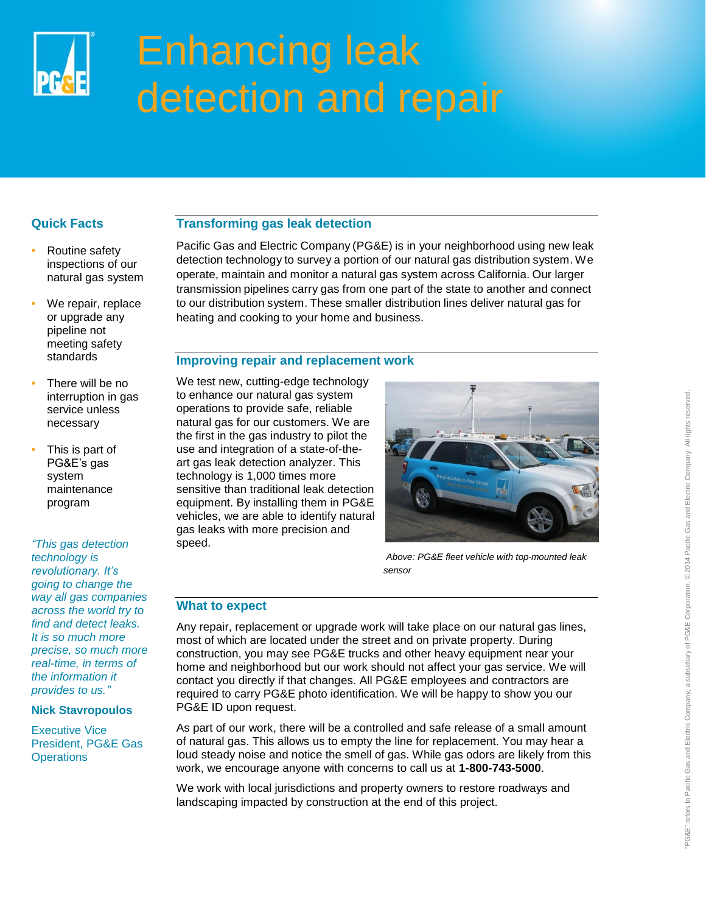

# Enhancing leak detection and repair

# **Quick Facts**

- **•** Routine safety inspections of our natural gas system
- **•** We repair, replace or upgrade any pipeline not meeting safety standards
- **•** There will be no interruption in gas service unless necessary
- **•** This is part of PG&E's gas system maintenance program

*"This gas detection technology is revolutionary. It's going to change the way all gas companies across the world try to find and detect leaks. It is so much more precise, so much more real-time, in terms of the information it provides to us."*

#### **Nick Stavropoulos**

Executive Vice President, PG&E Gas **Operations** 

# **Transforming gas leak detection**

Pacific Gas and Electric Company (PG&E) is in your neighborhood using new leak detection technology to survey a portion of our natural gas distribution system. We operate, maintain and monitor a natural gas system across California. Our larger transmission pipelines carry gas from one part of the state to another and connect to our distribution system. These smaller distribution lines deliver natural gas for heating and cooking to your home and business.

# **Improving repair and replacement work**

We test new, cutting-edge technology to enhance our natural gas system operations to provide safe, reliable natural gas for our customers. We are the first in the gas industry to pilot the use and integration of a state-of-theart gas leak detection analyzer. This technology is 1,000 times more sensitive than traditional leak detection equipment. By installing them in PG&E vehicles, we are able to identify natural gas leaks with more precision and speed.



 *Above: PG&E fleet vehicle with top-mounted leak sensor* sensor

# **What to expect**

Any repair, replacement or upgrade work will take place on our natural gas lines, most of which are located under the street and on private property. During construction, you may see PG&E trucks and other heavy equipment near your home and neighborhood but our work should not affect your gas service. We will contact you directly if that changes. All PG&E employees and contractors are required to carry PG&E photo identification. We will be happy to show you our PG&E ID upon request.

As part of our work, there will be a controlled and safe release of a small amount of natural gas. This allows us to empty the line for replacement. You may hear a loud steady noise and notice the smell of gas. While gas odors are likely from this work, we encourage anyone with concerns to call us at **1-800-743-5000**.

We work with local jurisdictions and property owners to restore roadways and landscaping impacted by construction at the end of this project.